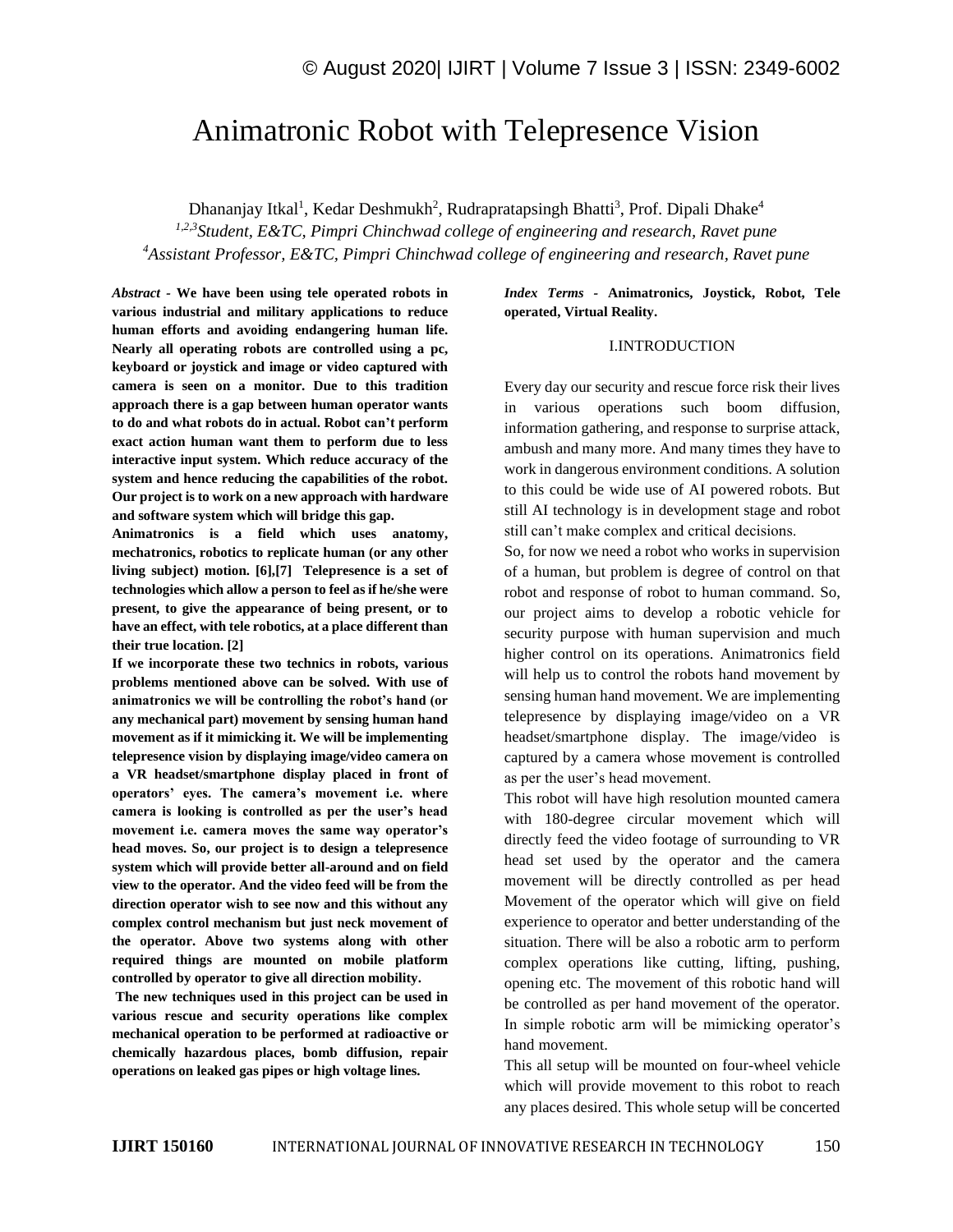# Animatronic Robot with Telepresence Vision

Dhananjay Itkal<sup>1</sup>, Kedar Deshmukh<sup>2</sup>, Rudrapratapsingh Bhatti<sup>3</sup>, Prof. Dipali Dhake<sup>4</sup>

*1,2,3Student, E&TC, Pimpri Chinchwad college of engineering and research, Ravet pune <sup>4</sup>Assistant Professor, E&TC, Pimpri Chinchwad college of engineering and research, Ravet pune*

*Abstract -* **We have been using tele operated robots in various industrial and military applications to reduce human efforts and avoiding endangering human life. Nearly all operating robots are controlled using a pc, keyboard or joystick and image or video captured with camera is seen on a monitor. Due to this tradition approach there is a gap between human operator wants to do and what robots do in actual. Robot can't perform exact action human want them to perform due to less interactive input system. Which reduce accuracy of the system and hence reducing the capabilities of the robot. Our project is to work on a new approach with hardware and software system which will bridge this gap.**

**Animatronics is a field which uses anatomy, mechatronics, robotics to replicate human (or any other living subject) motion. [6],[7] Telepresence is a set of technologies which allow a person to feel as if he/she were present, to give the appearance of being present, or to have an effect, with tele robotics, at a place different than their true location. [2]**

**If we incorporate these two technics in robots, various problems mentioned above can be solved. With use of animatronics we will be controlling the robot's hand (or any mechanical part) movement by sensing human hand movement as if it mimicking it. We will be implementing telepresence vision by displaying image/video camera on a VR headset/smartphone display placed in front of operators' eyes. The camera's movement i.e. where camera is looking is controlled as per the user's head movement i.e. camera moves the same way operator's head moves. So, our project is to design a telepresence system which will provide better all-around and on field view to the operator. And the video feed will be from the direction operator wish to see now and this without any complex control mechanism but just neck movement of the operator. Above two systems along with other required things are mounted on mobile platform controlled by operator to give all direction mobility.**

**The new techniques used in this project can be used in various rescue and security operations like complex mechanical operation to be performed at radioactive or chemically hazardous places, bomb diffusion, repair operations on leaked gas pipes or high voltage lines.**

*Index Terms -* **Animatronics, Joystick, Robot, Tele operated, Virtual Reality.**

#### I.INTRODUCTION

Every day our security and rescue force risk their lives in various operations such boom diffusion, information gathering, and response to surprise attack, ambush and many more. And many times they have to work in dangerous environment conditions. A solution to this could be wide use of AI powered robots. But still AI technology is in development stage and robot still can't make complex and critical decisions.

So, for now we need a robot who works in supervision of a human, but problem is degree of control on that robot and response of robot to human command. So, our project aims to develop a robotic vehicle for security purpose with human supervision and much higher control on its operations. Animatronics field will help us to control the robots hand movement by sensing human hand movement. We are implementing telepresence by displaying image/video on a VR headset/smartphone display. The image/video is captured by a camera whose movement is controlled as per the user's head movement.

This robot will have high resolution mounted camera with 180-degree circular movement which will directly feed the video footage of surrounding to VR head set used by the operator and the camera movement will be directly controlled as per head Movement of the operator which will give on field experience to operator and better understanding of the situation. There will be also a robotic arm to perform complex operations like cutting, lifting, pushing, opening etc. The movement of this robotic hand will be controlled as per hand movement of the operator. In simple robotic arm will be mimicking operator's hand movement.

This all setup will be mounted on four-wheel vehicle which will provide movement to this robot to reach any places desired. This whole setup will be concerted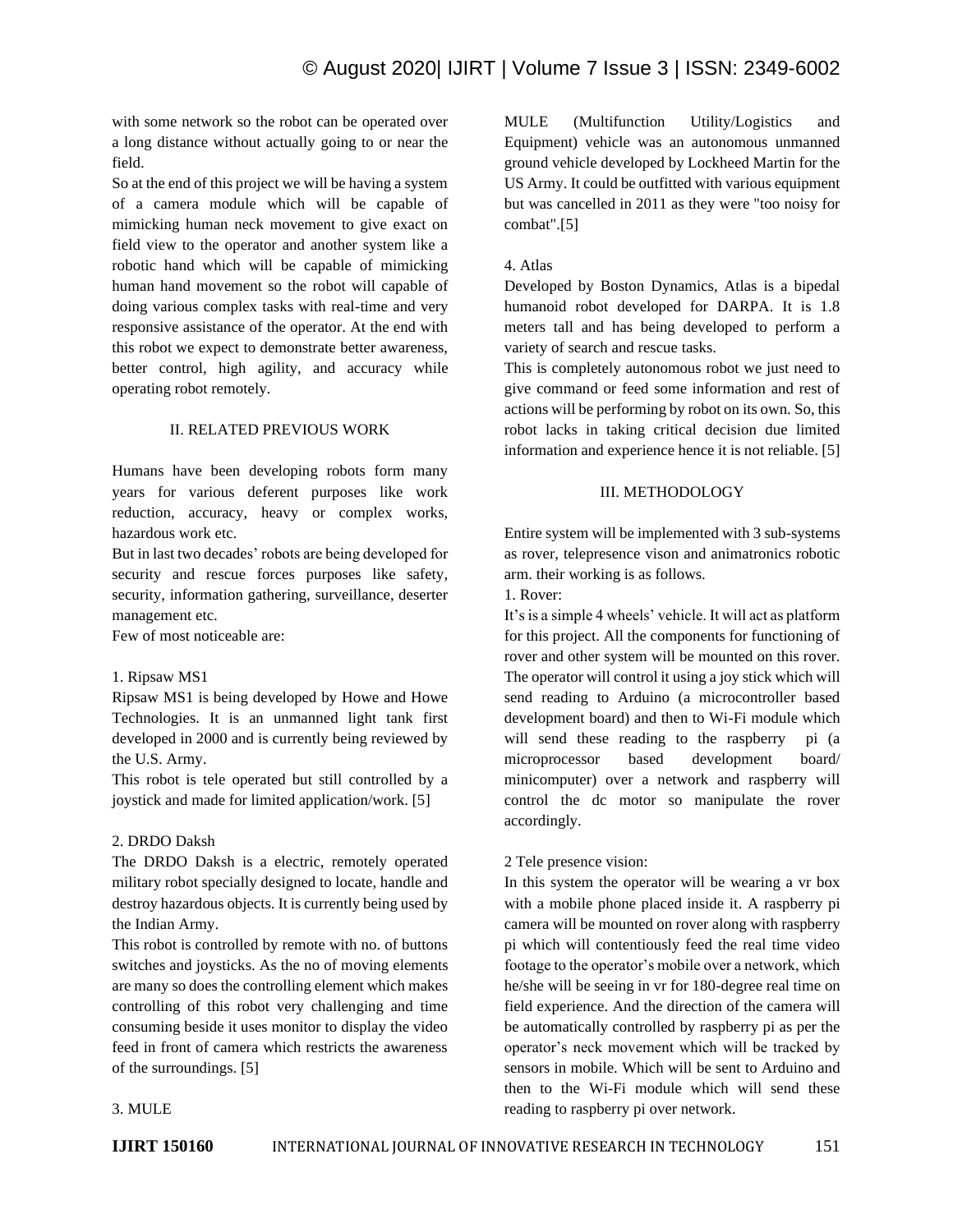with some network so the robot can be operated over a long distance without actually going to or near the field.

So at the end of this project we will be having a system of a camera module which will be capable of mimicking human neck movement to give exact on field view to the operator and another system like a robotic hand which will be capable of mimicking human hand movement so the robot will capable of doing various complex tasks with real-time and very responsive assistance of the operator. At the end with this robot we expect to demonstrate better awareness, better control, high agility, and accuracy while operating robot remotely.

#### II. RELATED PREVIOUS WORK

Humans have been developing robots form many years for various deferent purposes like work reduction, accuracy, heavy or complex works, hazardous work etc.

But in last two decades' robots are being developed for security and rescue forces purposes like safety, security, information gathering, surveillance, deserter management etc.

Few of most noticeable are:

#### 1. Ripsaw MS1

Ripsaw MS1 is being developed by Howe and Howe Technologies. It is an unmanned light tank first developed in 2000 and is currently being reviewed by the U.S. Army.

This robot is tele operated but still controlled by a joystick and made for limited application/work. [5]

## 2. DRDO Daksh

The DRDO Daksh is a electric, remotely operated military robot specially designed to locate, handle and destroy hazardous objects. It is currently being used by the Indian Army.

This robot is controlled by remote with no. of buttons switches and joysticks. As the no of moving elements are many so does the controlling element which makes controlling of this robot very challenging and time consuming beside it uses monitor to display the video feed in front of camera which restricts the awareness of the surroundings. [5]

MULE (Multifunction Utility/Logistics and Equipment) vehicle was an autonomous unmanned ground vehicle developed by Lockheed Martin for the US Army. It could be outfitted with various equipment but was cancelled in 2011 as they were "too noisy for combat".[5]

#### 4. Atlas

Developed by Boston Dynamics, Atlas is a bipedal humanoid robot developed for DARPA. It is 1.8 meters tall and has being developed to perform a variety of search and rescue tasks.

This is completely autonomous robot we just need to give command or feed some information and rest of actions will be performing by robot on its own. So, this robot lacks in taking critical decision due limited information and experience hence it is not reliable. [5]

#### III. METHODOLOGY

Entire system will be implemented with 3 sub-systems as rover, telepresence vison and animatronics robotic arm. their working is as follows.

1. Rover:

It's is a simple 4 wheels' vehicle. It will act as platform for this project. All the components for functioning of rover and other system will be mounted on this rover. The operator will control it using a joy stick which will send reading to Arduino (a microcontroller based development board) and then to Wi-Fi module which will send these reading to the raspberry pi (a microprocessor based development board/ minicomputer) over a network and raspberry will control the dc motor so manipulate the rover accordingly.

#### 2 Tele presence vision:

In this system the operator will be wearing a vr box with a mobile phone placed inside it. A raspberry pi camera will be mounted on rover along with raspberry pi which will contentiously feed the real time video footage to the operator's mobile over a network, which he/she will be seeing in vr for 180-degree real time on field experience. And the direction of the camera will be automatically controlled by raspberry pi as per the operator's neck movement which will be tracked by sensors in mobile. Which will be sent to Arduino and then to the Wi-Fi module which will send these reading to raspberry pi over network.

## 3. MULE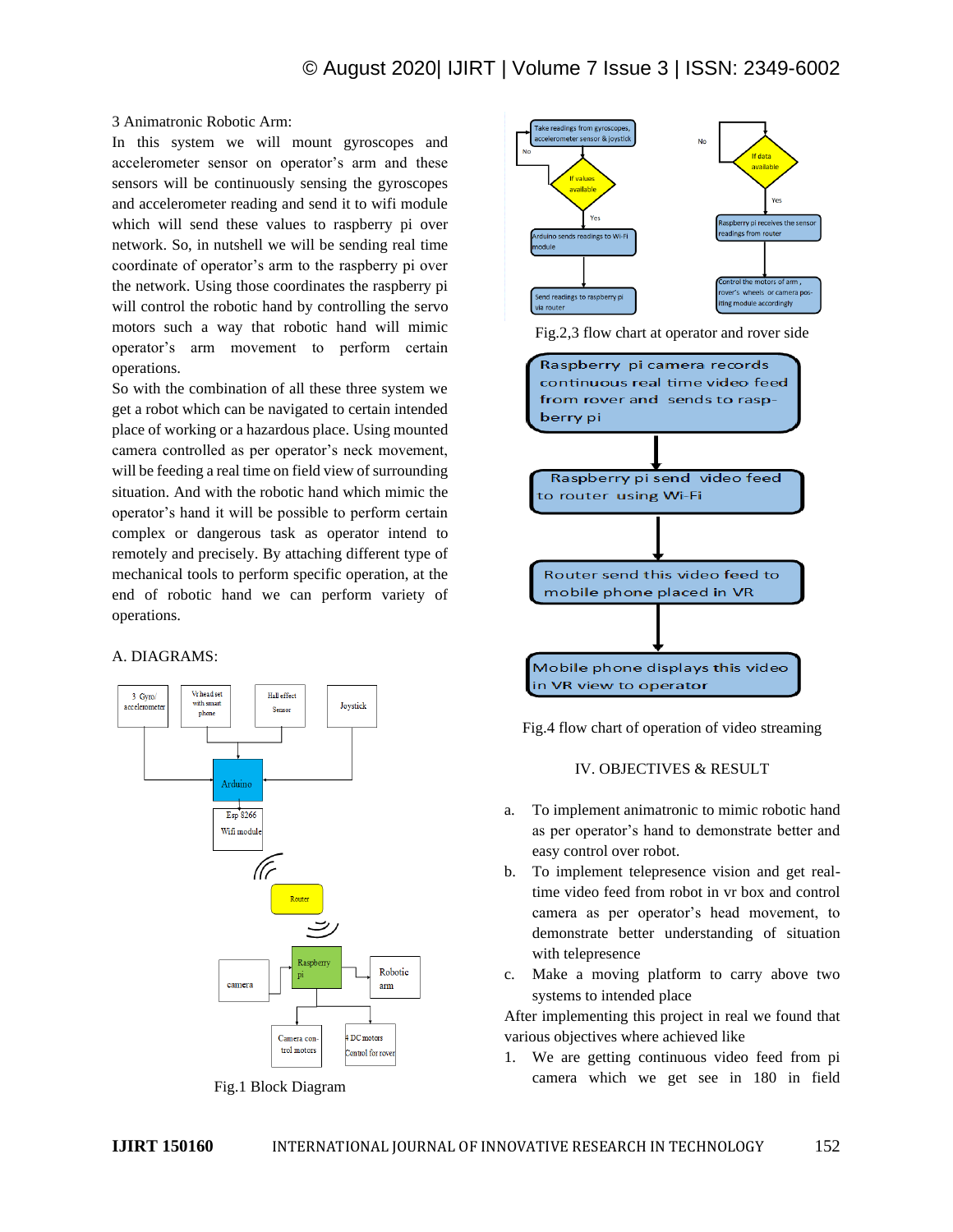#### 3 Animatronic Robotic Arm:

In this system we will mount gyroscopes and accelerometer sensor on operator's arm and these sensors will be continuously sensing the gyroscopes and accelerometer reading and send it to wifi module which will send these values to raspberry pi over network. So, in nutshell we will be sending real time coordinate of operator's arm to the raspberry pi over the network. Using those coordinates the raspberry pi will control the robotic hand by controlling the servo motors such a way that robotic hand will mimic operator's arm movement to perform certain operations.

So with the combination of all these three system we get a robot which can be navigated to certain intended place of working or a hazardous place. Using mounted camera controlled as per operator's neck movement, will be feeding a real time on field view of surrounding situation. And with the robotic hand which mimic the operator's hand it will be possible to perform certain complex or dangerous task as operator intend to remotely and precisely. By attaching different type of mechanical tools to perform specific operation, at the end of robotic hand we can perform variety of operations.

#### A. DIAGRAMS:







Fig.2,3 flow chart at operator and rover side



Fig.4 flow chart of operation of video streaming

#### IV. OBJECTIVES & RESULT

- a. To implement animatronic to mimic robotic hand as per operator's hand to demonstrate better and easy control over robot.
- b. To implement telepresence vision and get realtime video feed from robot in vr box and control camera as per operator's head movement, to demonstrate better understanding of situation with telepresence
- c. Make a moving platform to carry above two systems to intended place

After implementing this project in real we found that various objectives where achieved like

1. We are getting continuous video feed from pi camera which we get see in 180 in field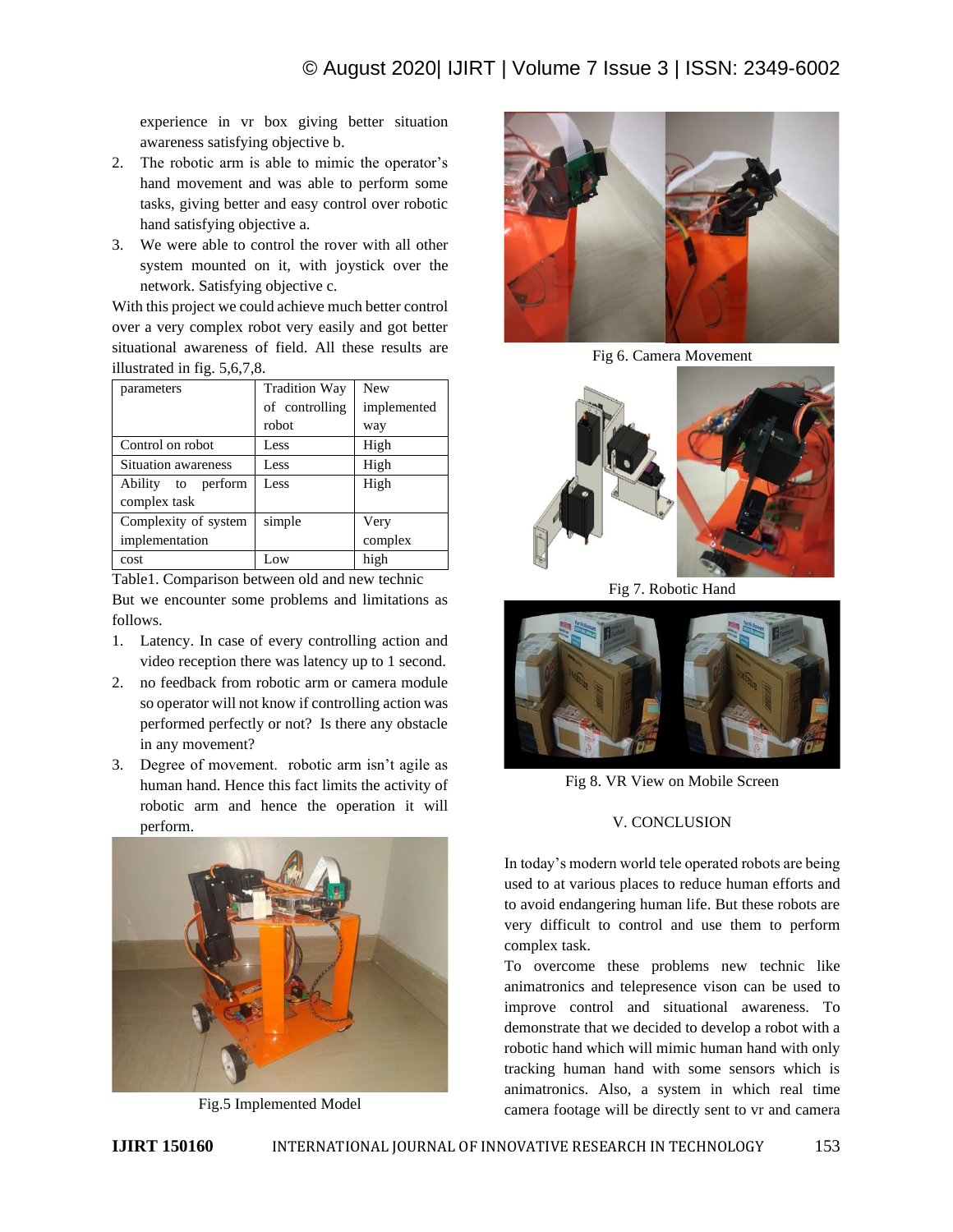experience in vr box giving better situation awareness satisfying objective b.

- 2. The robotic arm is able to mimic the operator's hand movement and was able to perform some tasks, giving better and easy control over robotic hand satisfying objective a.
- 3. We were able to control the rover with all other system mounted on it, with joystick over the network. Satisfying objective c.

With this project we could achieve much better control over a very complex robot very easily and got better situational awareness of field. All these results are illustrated in fig. 5,6,7,8.

| parameters                 | <b>Tradition Way</b> | <b>New</b>  |
|----------------------------|----------------------|-------------|
|                            | of controlling       | implemented |
|                            | robot                | way         |
| Control on robot           | Less                 | High        |
| <b>Situation awareness</b> | Less                 | High        |
| Ability<br>to perform      | Less                 | High        |
| complex task               |                      |             |
| Complexity of system       | simple               | Very        |
| implementation             |                      | complex     |
| cost                       | Low                  | high        |

Table1. Comparison between old and new technic But we encounter some problems and limitations as follows.

- 1. Latency. In case of every controlling action and video reception there was latency up to 1 second.
- 2. no feedback from robotic arm or camera module so operator will not know if controlling action was performed perfectly or not? Is there any obstacle in any movement?
- 3. Degree of movement. robotic arm isn't agile as human hand. Hence this fact limits the activity of robotic arm and hence the operation it will perform.



Fig.5 Implemented Model



Fig 6. Camera Movement



Fig 7. Robotic Hand



Fig 8. VR View on Mobile Screen

# V. CONCLUSION

In today's modern world tele operated robots are being used to at various places to reduce human efforts and to avoid endangering human life. But these robots are very difficult to control and use them to perform complex task.

To overcome these problems new technic like animatronics and telepresence vison can be used to improve control and situational awareness. To demonstrate that we decided to develop a robot with a robotic hand which will mimic human hand with only tracking human hand with some sensors which is animatronics. Also, a system in which real time camera footage will be directly sent to vr and camera